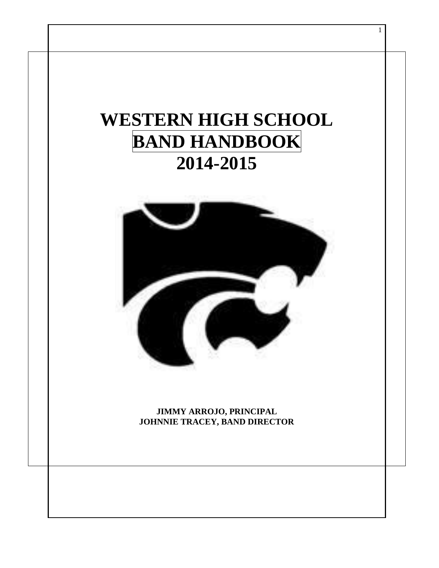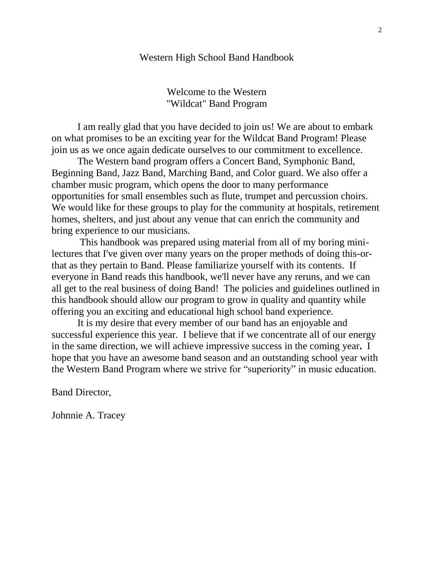#### Western High School Band Handbook

Welcome to the Western "Wildcat" Band Program

I am really glad that you have decided to join us! We are about to embark on what promises to be an exciting year for the Wildcat Band Program! Please join us as we once again dedicate ourselves to our commitment to excellence.

The Western band program offers a Concert Band, Symphonic Band, Beginning Band, Jazz Band, Marching Band, and Color guard. We also offer a chamber music program, which opens the door to many performance opportunities for small ensembles such as flute, trumpet and percussion choirs. We would like for these groups to play for the community at hospitals, retirement homes, shelters, and just about any venue that can enrich the community and bring experience to our musicians.

This handbook was prepared using material from all of my boring minilectures that I've given over many years on the proper methods of doing this-orthat as they pertain to Band. Please familiarize yourself with its contents. If everyone in Band reads this handbook, we'll never have any reruns, and we can all get to the real business of doing Band! The policies and guidelines outlined in this handbook should allow our program to grow in quality and quantity while offering you an exciting and educational high school band experience.

It is my desire that every member of our band has an enjoyable and successful experience this year. I believe that if we concentrate all of our energy in the same direction, we will achieve impressive success in the coming year**.** I hope that you have an awesome band season and an outstanding school year with the Western Band Program where we strive for "superiority" in music education.

Band Director,

Johnnie A. Tracey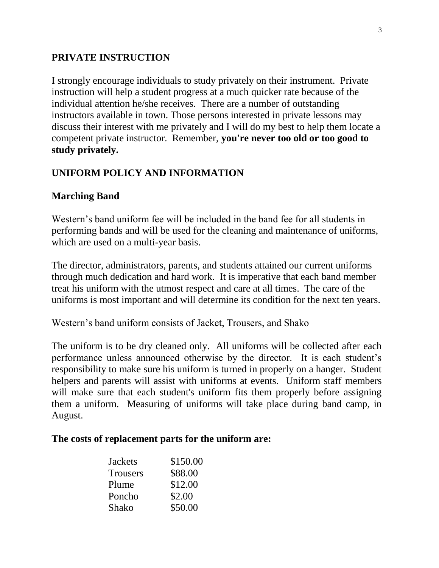#### **PRIVATE INSTRUCTION**

I strongly encourage individuals to study privately on their instrument. Private instruction will help a student progress at a much quicker rate because of the individual attention he/she receives. There are a number of outstanding instructors available in town. Those persons interested in private lessons may discuss their interest with me privately and I will do my best to help them locate a competent private instructor. Remember, **you're never too old or too good to study privately.**

### **UNIFORM POLICY AND INFORMATION**

#### **Marching Band**

Western's band uniform fee will be included in the band fee for all students in performing bands and will be used for the cleaning and maintenance of uniforms, which are used on a multi-year basis.

The director, administrators, parents, and students attained our current uniforms through much dedication and hard work. It is imperative that each band member treat his uniform with the utmost respect and care at all times. The care of the uniforms is most important and will determine its condition for the next ten years.

Western's band uniform consists of Jacket, Trousers, and Shako

The uniform is to be dry cleaned only. All uniforms will be collected after each performance unless announced otherwise by the director. It is each student's responsibility to make sure his uniform is turned in properly on a hanger. Student helpers and parents will assist with uniforms at events. Uniform staff members will make sure that each student's uniform fits them properly before assigning them a uniform. Measuring of uniforms will take place during band camp, in August.

#### **The costs of replacement parts for the uniform are:**

| <b>Jackets</b>  | \$150.00 |
|-----------------|----------|
| <b>Trousers</b> | \$88.00  |
| Plume           | \$12.00  |
| Poncho          | \$2.00   |
| Shako           | \$50.00  |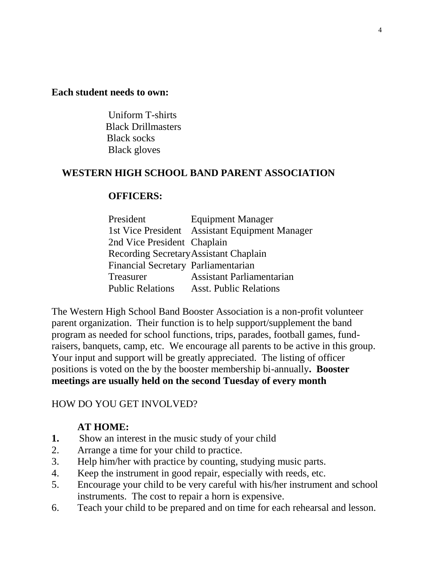#### **Each student needs to own:**

Uniform T-shirts Black Drillmasters Black socks Black gloves

#### **WESTERN HIGH SCHOOL BAND PARENT ASSOCIATION**

#### **OFFICERS:**

| President                              | <b>Equipment Manager</b>                       |
|----------------------------------------|------------------------------------------------|
|                                        | 1st Vice President Assistant Equipment Manager |
| 2nd Vice President Chaplain            |                                                |
| Recording Secretary Assistant Chaplain |                                                |
| Financial Secretary Parliamentarian    |                                                |
| Treasurer                              | <b>Assistant Parliamentarian</b>               |
|                                        | <b>Public Relations</b> Asst. Public Relations |

The Western High School Band Booster Association is a non-profit volunteer parent organization. Their function is to help support/supplement the band program as needed for school functions, trips, parades, football games, fundraisers, banquets, camp, etc. We encourage all parents to be active in this group. Your input and support will be greatly appreciated. The listing of officer positions is voted on the by the booster membership bi-annually**. Booster meetings are usually held on the second Tuesday of every month**

#### HOW DO YOU GET INVOLVED?

#### **AT HOME:**

- **1.** Show an interest in the music study of your child
- 2. Arrange a time for your child to practice.
- 3. Help him/her with practice by counting, studying music parts.
- 4. Keep the instrument in good repair, especially with reeds, etc.
- 5. Encourage your child to be very careful with his/her instrument and school instruments. The cost to repair a horn is expensive.
- 6. Teach your child to be prepared and on time for each rehearsal and lesson.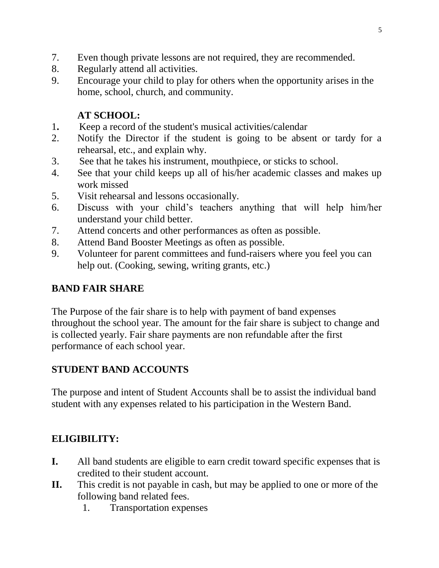- 7. Even though private lessons are not required, they are recommended.
- 8. Regularly attend all activities.
- 9. Encourage your child to play for others when the opportunity arises in the home, school, church, and community.

# **AT SCHOOL:**

- 1**.** Keep a record of the student's musical activities/calendar
- 2. Notify the Director if the student is going to be absent or tardy for a rehearsal, etc., and explain why.
- 3. See that he takes his instrument, mouthpiece, or sticks to school.
- 4. See that your child keeps up all of his/her academic classes and makes up work missed
- 5. Visit rehearsal and lessons occasionally.
- 6. Discuss with your child's teachers anything that will help him/her understand your child better.
- 7. Attend concerts and other performances as often as possible.
- 8. Attend Band Booster Meetings as often as possible.
- 9. Volunteer for parent committees and fund-raisers where you feel you can help out. (Cooking, sewing, writing grants, etc.)

# **BAND FAIR SHARE**

The Purpose of the fair share is to help with payment of band expenses throughout the school year. The amount for the fair share is subject to change and is collected yearly. Fair share payments are non refundable after the first performance of each school year.

# **STUDENT BAND ACCOUNTS**

The purpose and intent of Student Accounts shall be to assist the individual band student with any expenses related to his participation in the Western Band.

# **ELIGIBILITY:**

- **I.** All band students are eligible to earn credit toward specific expenses that is credited to their student account.
- **II.** This credit is not payable in cash, but may be applied to one or more of the following band related fees.
	- 1. Transportation expenses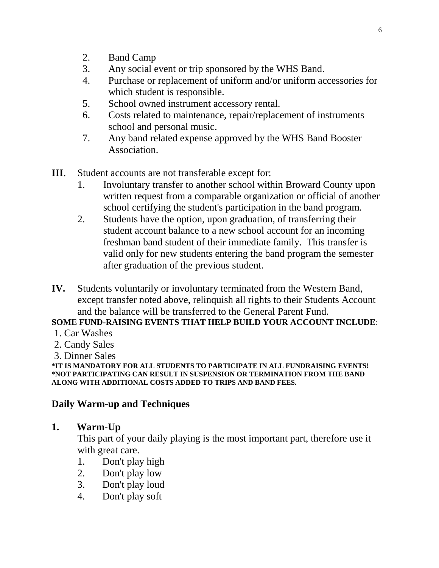- 2. Band Camp
- 3. Any social event or trip sponsored by the WHS Band.
- 4. Purchase or replacement of uniform and/or uniform accessories for which student is responsible.
- 5. School owned instrument accessory rental.
- 6. Costs related to maintenance, repair/replacement of instruments school and personal music.
- 7. Any band related expense approved by the WHS Band Booster Association.
- **III**. Student accounts are not transferable except for:
	- 1. Involuntary transfer to another school within Broward County upon written request from a comparable organization or official of another school certifying the student's participation in the band program.
	- 2. Students have the option, upon graduation, of transferring their student account balance to a new school account for an incoming freshman band student of their immediate family. This transfer is valid only for new students entering the band program the semester after graduation of the previous student.
- **IV.** Students voluntarily or involuntary terminated from the Western Band, except transfer noted above, relinquish all rights to their Students Account and the balance will be transferred to the General Parent Fund.

### **SOME FUND-RAISING EVENTS THAT HELP BUILD YOUR ACCOUNT INCLUDE**:

- 1. Car Washes
- 2. Candy Sales
- 3. Dinner Sales

**\*IT IS MANDATORY FOR ALL STUDENTS TO PARTICIPATE IN ALL FUNDRAISING EVENTS! \*NOT PARTICIPATING CAN RESULT IN SUSPENSION OR TERMINATION FROM THE BAND ALONG WITH ADDITIONAL COSTS ADDED TO TRIPS AND BAND FEES.**

### **Daily Warm-up and Techniques**

### **1. Warm-Up**

This part of your daily playing is the most important part, therefore use it with great care.

- 1. Don't play high
- 2. Don't play low
- 3. Don't play loud
- 4. Don't play soft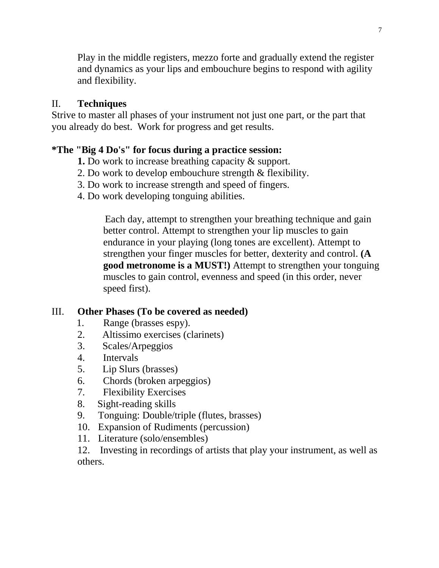Play in the middle registers, mezzo forte and gradually extend the register and dynamics as your lips and embouchure begins to respond with agility and flexibility.

### II. **Techniques**

Strive to master all phases of your instrument not just one part, or the part that you already do best. Work for progress and get results.

### **\*The "Big 4 Do's" for focus during a practice session:**

- **1.** Do work to increase breathing capacity & support.
- 2. Do work to develop embouchure strength & flexibility.
- 3. Do work to increase strength and speed of fingers.
- 4. Do work developing tonguing abilities.

 Each day, attempt to strengthen your breathing technique and gain better control. Attempt to strengthen your lip muscles to gain endurance in your playing (long tones are excellent). Attempt to strengthen your finger muscles for better, dexterity and control. **(A good metronome is a MUST!)** Attempt to strengthen your tonguing muscles to gain control, evenness and speed (in this order, never speed first).

### III. **Other Phases (To be covered as needed)**

- 1. Range (brasses espy).
- 2. Altissimo exercises (clarinets)
- 3. Scales/Arpeggios
- 4. Intervals
- 5. Lip Slurs (brasses)
- 6. Chords (broken arpeggios)
- 7. Flexibility Exercises
- 8. Sight-reading skills
- 9. Tonguing: Double/triple (flutes, brasses)
- 10. Expansion of Rudiments (percussion)
- 11. Literature (solo/ensembles)

12. Investing in recordings of artists that play your instrument, as well as others.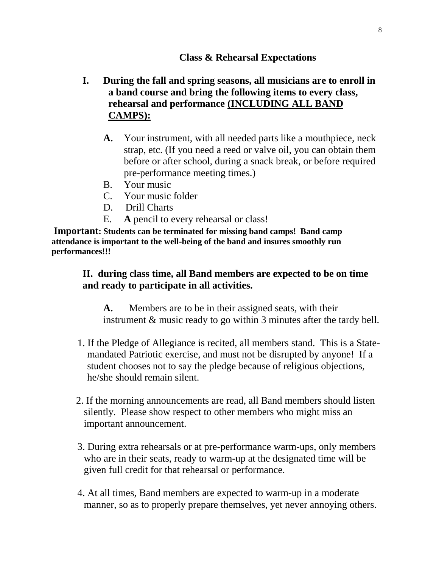#### **Class & Rehearsal Expectations**

### **I. During the fall and spring seasons, all musicians are to enroll in a band course and bring the following items to every class, rehearsal and performance (INCLUDING ALL BAND CAMPS):**

- **A.** Your instrument, with all needed parts like a mouthpiece, neck strap, etc. (If you need a reed or valve oil, you can obtain them before or after school, during a snack break, or before required pre-performance meeting times.)
- B. Your music
- C. Your music folder
- D. Drill Charts
- E. **A** pencil to every rehearsal or class!

**Important: Students can be terminated for missing band camps! Band camp attendance is important to the well-being of the band and insures smoothly run performances!!!**

### **II. during class time, all Band members are expected to be on time and ready to participate in all activities.**

**A.** Members are to be in their assigned seats, with their instrument & music ready to go within 3 minutes after the tardy bell.

- 1. If the Pledge of Allegiance is recited, all members stand. This is a Statemandated Patriotic exercise, and must not be disrupted by anyone! If a student chooses not to say the pledge because of religious objections, he/she should remain silent.
- 2. If the morning announcements are read, all Band members should listen silently. Please show respect to other members who might miss an important announcement.
- 3. During extra rehearsals or at pre-performance warm-ups, only members who are in their seats, ready to warm-up at the designated time will be given full credit for that rehearsal or performance.
- 4. At all times, Band members are expected to warm-up in a moderate manner, so as to properly prepare themselves, yet never annoying others.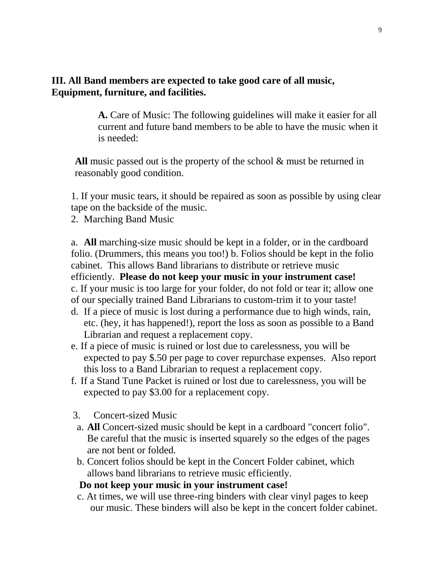#### **III. All Band members are expected to take good care of all music, Equipment, furniture, and facilities.**

**A.** Care of Music: The following guidelines will make it easier for all current and future band members to be able to have the music when it is needed:

**All** music passed out is the property of the school & must be returned in reasonably good condition.

1. If your music tears, it should be repaired as soon as possible by using clear tape on the backside of the music.

2. Marching Band Music

a. **All** marching-size music should be kept in a folder, or in the cardboard folio. (Drummers, this means you too!) b. Folios should be kept in the folio cabinet. This allows Band librarians to distribute or retrieve music efficiently. **Please do not keep your music in your instrument case!** c. If your music is too large for your folder, do not fold or tear it; allow one of our specially trained Band Librarians to custom-trim it to your taste!

- d. If a piece of music is lost during a performance due to high winds, rain, etc. (hey, it has happened!), report the loss as soon as possible to a Band Librarian and request a replacement copy.
- e. If a piece of music is ruined or lost due to carelessness, you will be expected to pay \$.50 per page to cover repurchase expenses. Also report this loss to a Band Librarian to request a replacement copy.
- f. If a Stand Tune Packet is ruined or lost due to carelessness, you will be expected to pay \$3.00 for a replacement copy.
- 3. Concert-sized Music
- a. **All** Concert-sized music should be kept in a cardboard "concert folio". Be careful that the music is inserted squarely so the edges of the pages are not bent or folded.
- b. Concert folios should be kept in the Concert Folder cabinet, which allows band librarians to retrieve music efficiently.

#### **Do not keep your music in your instrument case!**

 c. At times, we will use three-ring binders with clear vinyl pages to keep our music. These binders will also be kept in the concert folder cabinet.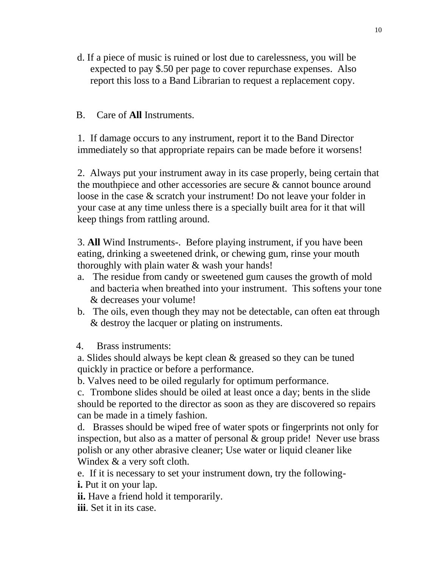d. If a piece of music is ruined or lost due to carelessness, you will be expected to pay \$.50 per page to cover repurchase expenses. Also report this loss to a Band Librarian to request a replacement copy.

#### B. Care of **All** Instruments.

1. If damage occurs to any instrument, report it to the Band Director immediately so that appropriate repairs can be made before it worsens!

2. Always put your instrument away in its case properly, being certain that the mouthpiece and other accessories are secure & cannot bounce around loose in the case & scratch your instrument! Do not leave your folder in your case at any time unless there is a specially built area for it that will keep things from rattling around.

3. **All** Wind Instruments-. Before playing instrument, if you have been eating, drinking a sweetened drink, or chewing gum, rinse your mouth thoroughly with plain water & wash your hands!

- a. The residue from candy or sweetened gum causes the growth of mold and bacteria when breathed into your instrument. This softens your tone & decreases your volume!
- b. The oils, even though they may not be detectable, can often eat through & destroy the lacquer or plating on instruments.
- 4. Brass instruments:

a. Slides should always be kept clean & greased so they can be tuned quickly in practice or before a performance.

b. Valves need to be oiled regularly for optimum performance.

c. Trombone slides should be oiled at least once a day; bents in the slide should be reported to the director as soon as they are discovered so repairs can be made in a timely fashion.

d. Brasses should be wiped free of water spots or fingerprints not only for inspection, but also as a matter of personal  $\&$  group pride! Never use brass polish or any other abrasive cleaner; Use water or liquid cleaner like Windex & a very soft cloth.

e. If it is necessary to set your instrument down, try the following-

**i.** Put it on your lap.

**ii.** Have a friend hold it temporarily.

**iii**. Set it in its case.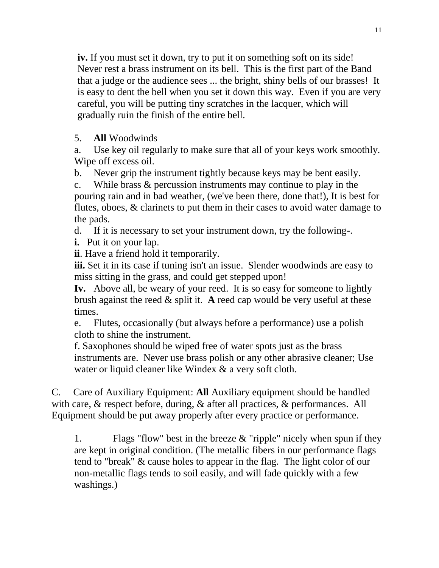**iv.** If you must set it down, try to put it on something soft on its side! Never rest a brass instrument on its bell. This is the first part of the Band that a judge or the audience sees ... the bright, shiny bells of our brasses! It is easy to dent the bell when you set it down this way. Even if you are very careful, you will be putting tiny scratches in the lacquer, which will gradually ruin the finish of the entire bell.

### 5. **All** Woodwinds

a. Use key oil regularly to make sure that all of your keys work smoothly. Wipe off excess oil.

b. Never grip the instrument tightly because keys may be bent easily.

c. While brass & percussion instruments may continue to play in the pouring rain and in bad weather, (we've been there, done that!), It is best for flutes, oboes, & clarinets to put them in their cases to avoid water damage to the pads.

d. If it is necessary to set your instrument down, try the following-.

**i.** Put it on your lap.

**ii**. Have a friend hold it temporarily.

**iii.** Set it in its case if tuning isn't an issue. Slender woodwinds are easy to miss sitting in the grass, and could get stepped upon!

**Iv.** Above all, be weary of your reed. It is so easy for someone to lightly brush against the reed & split it. **A** reed cap would be very useful at these times.

e. Flutes, occasionally (but always before a performance) use a polish cloth to shine the instrument.

f. Saxophones should be wiped free of water spots just as the brass instruments are. Never use brass polish or any other abrasive cleaner; Use water or liquid cleaner like Windex & a very soft cloth.

C.Care of Auxiliary Equipment: **All** Auxiliary equipment should be handled with care, & respect before, during, & after all practices, & performances. All Equipment should be put away properly after every practice or performance.

1. Flags "flow" best in the breeze  $&$  "ripple" nicely when spun if they are kept in original condition. (The metallic fibers in our performance flags tend to "break" & cause holes to appear in the flag. The light color of our non-metallic flags tends to soil easily, and will fade quickly with a few washings.)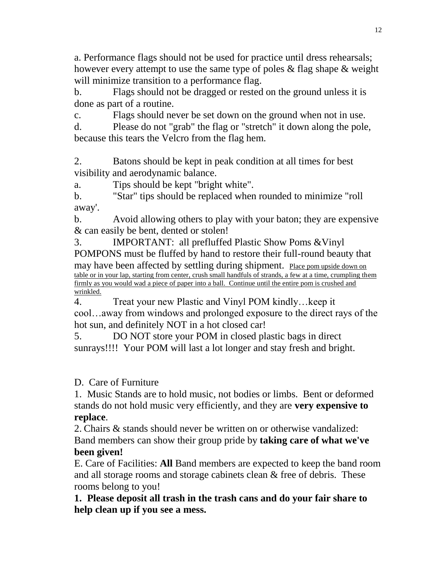a. Performance flags should not be used for practice until dress rehearsals; however every attempt to use the same type of poles & flag shape & weight will minimize transition to a performance flag.

b. Flags should not be dragged or rested on the ground unless it is done as part of a routine.

c. Flags should never be set down on the ground when not in use.

d. Please do not "grab" the flag or "stretch" it down along the pole, because this tears the Velcro from the flag hem.

2. Batons should be kept in peak condition at all times for best visibility and aerodynamic balance.

a. Tips should be kept "bright white".

b. "Star" tips should be replaced when rounded to minimize "roll away'.

b. Avoid allowing others to play with your baton; they are expensive & can easily be bent, dented or stolen!

3. IMPORTANT: all prefluffed Plastic Show Poms &Vinyl POMPONS must be fluffed by hand to restore their full-round beauty that may have been affected by settling during shipment. Place pom upside down on table or in your lap, starting from center, crush small handfuls of strands, a few at a time, crumpling them firmly as you would wad a piece of paper into a ball. Continue until the entire pom is crushed and wrinkled.

4. Treat your new Plastic and Vinyl POM kindly…keep it cool…away from windows and prolonged exposure to the direct rays of the hot sun, and definitely NOT in a hot closed car!

5. DO NOT store your POM in closed plastic bags in direct sunrays!!!! Your POM will last a lot longer and stay fresh and bright.

### D. Care of Furniture

1. Music Stands are to hold music, not bodies or limbs. Bent or deformed stands do not hold music very efficiently, and they are **very expensive to replace**.

2. Chairs & stands should never be written on or otherwise vandalized: Band members can show their group pride by **taking care of what we've been given!**

E. Care of Facilities: **All** Band members are expected to keep the band room and all storage rooms and storage cabinets clean & free of debris. These rooms belong to you!

**1. Please deposit all trash in the trash cans and do your fair share to help clean up if you see a mess.**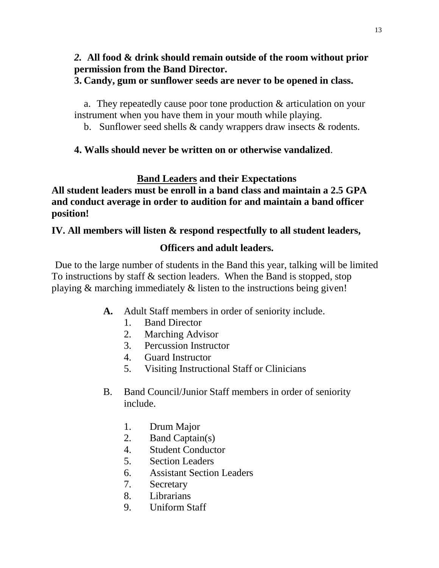### *2.* **All food & drink should remain outside of the room without prior permission from the Band Director.**

#### **3. Candy, gum or sunflower seeds are never to be opened in class.**

a. They repeatedly cause poor tone production & articulation on your instrument when you have them in your mouth while playing.

b. Sunflower seed shells & candy wrappers draw insects & rodents.

### **4. Walls should never be written on or otherwise vandalized**.

# **Band Leaders and their Expectations**

**All student leaders must be enroll in a band class and maintain a 2.5 GPA and conduct average in order to audition for and maintain a band officer position!**

### **IV. All members will listen & respond respectfully to all student leaders,**

# **Officers and adult leaders.**

Due to the large number of students in the Band this year, talking will be limited To instructions by staff & section leaders. When the Band is stopped, stop playing & marching immediately & listen to the instructions being given!

- **A.** Adult Staff members in order of seniority include.
	- 1. Band Director
	- 2. Marching Advisor
	- 3. Percussion Instructor
	- 4. Guard Instructor
	- 5. Visiting Instructional Staff or Clinicians
- B. Band Council/Junior Staff members in order of seniority include.
	- 1. Drum Major
	- 2. Band Captain(s)
	- 4. Student Conductor
	- 5. Section Leaders
	- 6. Assistant Section Leaders
	- 7. Secretary
	- 8. Librarians
	- 9. Uniform Staff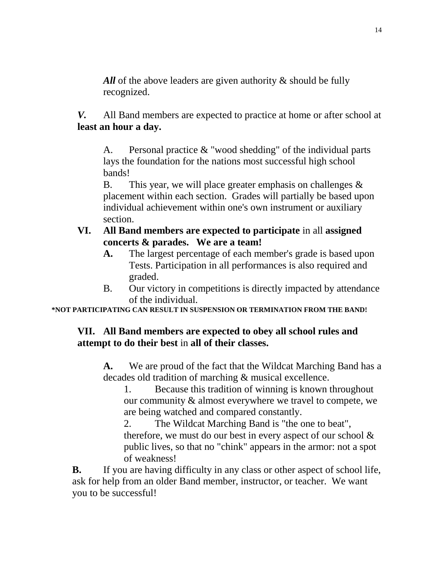All of the above leaders are given authority & should be fully recognized.

*V.* All Band members are expected to practice at home or after school at **least an hour a day.** 

A. Personal practice & "wood shedding" of the individual parts lays the foundation for the nations most successful high school bands!

B. This year, we will place greater emphasis on challenges & placement within each section. Grades will partially be based upon individual achievement within one's own instrument or auxiliary section.

### **VI. All Band members are expected to participate** in all **assigned concerts & parades. We are a team!**

- **A.** The largest percentage of each member's grade is based upon Tests. Participation in all performances is also required and graded.
- B. Our victory in competitions is directly impacted by attendance of the individual.

**\*NOT PARTICIPATING CAN RESULT IN SUSPENSION OR TERMINATION FROM THE BAND!**

### **VII. All Band members are expected to obey all school rules and attempt to do their best** in **all of their classes.**

**A.** We are proud of the fact that the Wildcat Marching Band has a decades old tradition of marching & musical excellence.

1. Because this tradition of winning is known throughout our community & almost everywhere we travel to compete, we are being watched and compared constantly.

2. The Wildcat Marching Band is "the one to beat", therefore, we must do our best in every aspect of our school & public lives, so that no "chink" appears in the armor: not a spot of weakness!

**B.** If you are having difficulty in any class or other aspect of school life, ask for help from an older Band member, instructor, or teacher. We want you to be successful!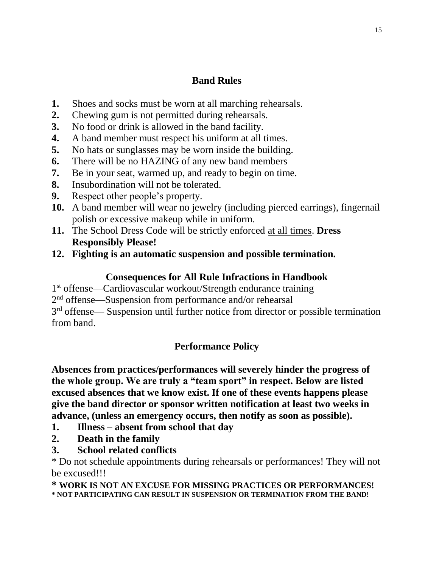### **Band Rules**

- **1.** Shoes and socks must be worn at all marching rehearsals.
- **2.** Chewing gum is not permitted during rehearsals.
- **3.** No food or drink is allowed in the band facility.
- **4.** A band member must respect his uniform at all times.
- **5.** No hats or sunglasses may be worn inside the building.
- **6.** There will be no HAZING of any new band members
- **7.** Be in your seat, warmed up, and ready to begin on time.
- **8.** Insubordination will not be tolerated.
- **9.** Respect other people's property.
- **10.** A band member will wear no jewelry (including pierced earrings), fingernail polish or excessive makeup while in uniform.
- **11.** The School Dress Code will be strictly enforced at all times. **Dress Responsibly Please!**
- **12. Fighting is an automatic suspension and possible termination.**

#### **Consequences for All Rule Infractions in Handbook**

1 st offense—Cardiovascular workout/Strength endurance training

2<sup>nd</sup> offense—Suspension from performance and/or rehearsal

3<sup>rd</sup> offense— Suspension until further notice from director or possible termination from band.

### **Performance Policy**

**Absences from practices/performances will severely hinder the progress of the whole group. We are truly a "team sport" in respect. Below are listed excused absences that we know exist. If one of these events happens please give the band director or sponsor written notification at least two weeks in advance, (unless an emergency occurs, then notify as soon as possible).** 

- **1. Illness – absent from school that day**
- **2. Death in the family**
- **3. School related conflicts**

\* Do not schedule appointments during rehearsals or performances! They will not be excused!!!

**\* WORK IS NOT AN EXCUSE FOR MISSING PRACTICES OR PERFORMANCES! \* NOT PARTICIPATING CAN RESULT IN SUSPENSION OR TERMINATION FROM THE BAND!**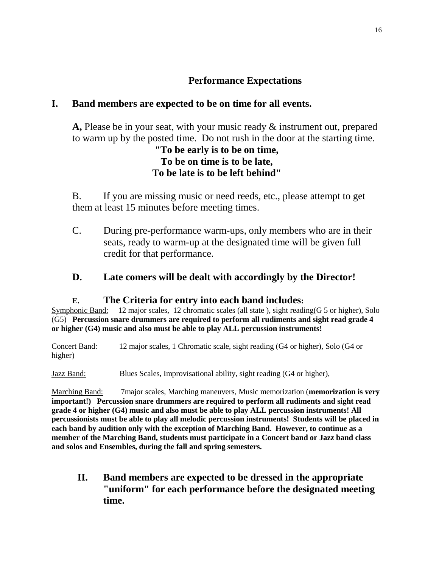### **Performance Expectations**

### **I. Band members are expected to be on time for all events.**

**A,** Please be in your seat, with your music ready & instrument out, prepared to warm up by the posted time. Do not rush in the door at the starting time.

#### **"To be early is to be on time, To be on time is to be late, To be late is to be left behind"**

B. If you are missing music or need reeds, etc., please attempt to get them at least 15 minutes before meeting times.

C. During pre-performance warm-ups, only members who are in their seats, ready to warm-up at the designated time will be given full credit for that performance.

#### **D. Late comers will be dealt with accordingly by the Director!**

#### **E. The Criteria for entry into each band includes:**

Symphonic Band: 12 major scales, 12 chromatic scales (all state), sight reading(G 5 or higher), Solo (G5) **Percussion snare drummers are required to perform all rudiments and sight read grade 4 or higher (G4) music and also must be able to play ALL percussion instruments!**

Concert Band: 12 major scales, 1 Chromatic scale, sight reading (G4 or higher), Solo (G4 or higher)

Jazz Band: Blues Scales, Improvisational ability, sight reading (G4 or higher),

Marching Band: 7major scales, Marching maneuvers, Music memorization (**memorization is very important!) Percussion snare drummers are required to perform all rudiments and sight read grade 4 or higher (G4) music and also must be able to play ALL percussion instruments! All percussionists must be able to play all melodic percussion instruments! Students will be placed in each band by audition only with the exception of Marching Band. However, to continue as a member of the Marching Band, students must participate in a Concert band or Jazz band class and solos and Ensembles, during the fall and spring semesters.**

**II. Band members are expected to be dressed in the appropriate "uniform" for each performance before the designated meeting time.**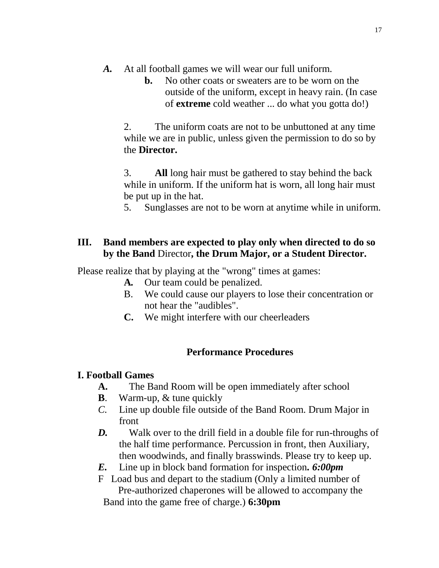- *A.* At all football games we will wear our full uniform.
	- **b.** No other coats or sweaters are to be worn on the outside of the uniform, except in heavy rain. (In case of **extreme** cold weather ... do what you gotta do!)

2. The uniform coats are not to be unbuttoned at any time while we are in public, unless given the permission to do so by the **Director.**

3. **All** long hair must be gathered to stay behind the back while in uniform. If the uniform hat is worn, all long hair must be put up in the hat.

5. Sunglasses are not to be worn at anytime while in uniform.

#### **III. Band members are expected to play only when directed to do so by the Band** Director**, the Drum Major, or a Student Director.**

Please realize that by playing at the "wrong" times at games:

- **A***.* Our team could be penalized.
- B. We could cause our players to lose their concentration or not hear the "audibles".
- **C.** We might interfere with our cheerleaders

### **Performance Procedures**

### **I. Football Games**

- **A.** The Band Room will be open immediately after school
- **B**. Warm-up, & tune quickly
- *C.* Line up double file outside of the Band Room. Drum Major in front
- *D.* Walk over to the drill field in a double file for run-throughs of the half time performance. Percussion in front, then Auxiliary, then woodwinds, and finally brasswinds. Please try to keep up.
- *E.* Line up in block band formation for inspection*. 6:00pm*

F Load bus and depart to the stadium (Only a limited number of Pre-authorized chaperones will be allowed to accompany the Band into the game free of charge.) **6:30pm**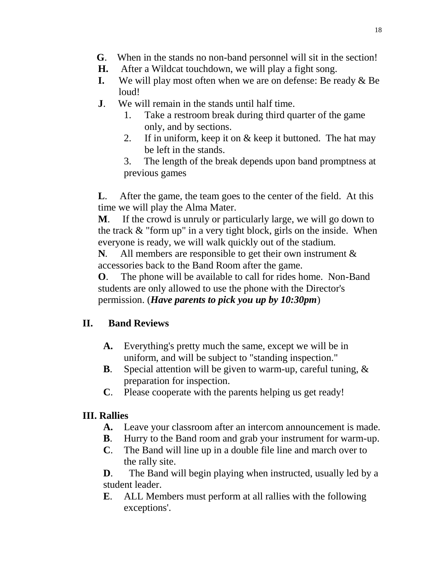- **G**. When in the stands no non-band personnel will sit in the section!
- **H.** After a Wildcat touchdown, we will play a fight song.
- **I.** We will play most often when we are on defense: Be ready & Be loud!
- **J**. We will remain in the stands until half time.
	- 1. Take a restroom break during third quarter of the game only, and by sections.
	- 2. If in uniform, keep it on & keep it buttoned. The hat may be left in the stands.
	- 3. The length of the break depends upon band promptness at previous games

**L**. After the game, the team goes to the center of the field. At this time we will play the Alma Mater.

**M**. If the crowd is unruly or particularly large, we will go down to the track & "form up" in a very tight block, girls on the inside. When everyone is ready, we will walk quickly out of the stadium.

**N***.* All members are responsible to get their own instrument & accessories back to the Band Room after the game.

**O**. The phone will be available to call for rides home. Non-Band students are only allowed to use the phone with the Director's permission. (*Have parents to pick you up by 10:30pm*)

### **II. Band Reviews**

- **A.** Everything's pretty much the same, except we will be in uniform, and will be subject to "standing inspection."
- **B**. Special attention will be given to warm-up, careful tuning, & preparation for inspection.
- **C**. Please cooperate with the parents helping us get ready!

# **III. Rallies**

- **A.** Leave your classroom after an intercom announcement is made.
- **B**. Hurry to the Band room and grab your instrument for warm-up.
- **C**. The Band will line up in a double file line and march over to the rally site.

**D**. The Band will begin playing when instructed, usually led by a student leader.

**E**. ALL Members must perform at all rallies with the following exceptions'.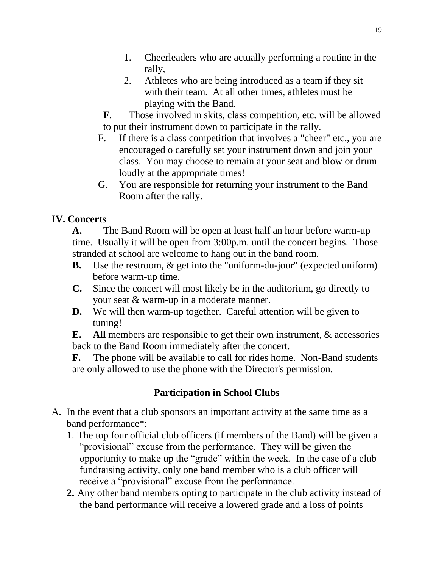- 1. Cheerleaders who are actually performing a routine in the rally,
- 2. Athletes who are being introduced as a team if they sit with their team. At all other times, athletes must be playing with the Band.
- **F**. Those involved in skits, class competition, etc. will be allowed to put their instrument down to participate in the rally.
- F. If there is a class competition that involves a "cheer" etc., you are encouraged o carefully set your instrument down and join your class. You may choose to remain at your seat and blow or drum loudly at the appropriate times!
- G. You are responsible for returning your instrument to the Band Room after the rally.

### **IV. Concerts**

**A.** The Band Room will be open at least half an hour before warm-up time. Usually it will be open from 3:00p.m. until the concert begins. Those stranded at school are welcome to hang out in the band room.

- **B.** Use the restroom, & get into the "uniform-du-jour" (expected uniform) before warm-up time.
- **C.** Since the concert will most likely be in the auditorium, go directly to your seat & warm-up in a moderate manner.
- **D.** We will then warm-up together. Careful attention will be given to tuning!

**E. All** members are responsible to get their own instrument, & accessories back to the Band Room immediately after the concert.

**F.** The phone will be available to call for rides home. Non-Band students are only allowed to use the phone with the Director's permission.

### **Participation in School Clubs**

- A. In the event that a club sponsors an important activity at the same time as a band performance\*:
	- 1. The top four official club officers (if members of the Band) will be given a "provisional" excuse from the performance. They will be given the opportunity to make up the "grade" within the week. In the case of a club fundraising activity, only one band member who is a club officer will receive a "provisional" excuse from the performance.
	- **2.** Any other band members opting to participate in the club activity instead of the band performance will receive a lowered grade and a loss of points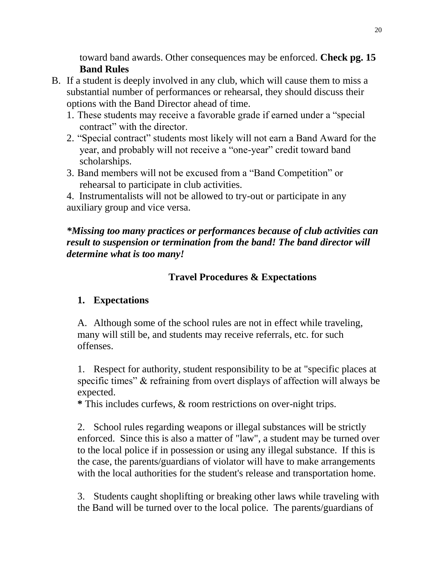toward band awards. Other consequences may be enforced. **Check pg. 15 Band Rules** 

- B. If a student is deeply involved in any club, which will cause them to miss a substantial number of performances or rehearsal, they should discuss their options with the Band Director ahead of time.
	- 1. These students may receive a favorable grade if earned under a "special contract" with the director.
	- 2. "Special contract" students most likely will not earn a Band Award for the year, and probably will not receive a "one-year" credit toward band scholarships.
	- 3. Band members will not be excused from a "Band Competition" or rehearsal to participate in club activities.

4. Instrumentalists will not be allowed to try-out or participate in any auxiliary group and vice versa.

### *\*Missing too many practices or performances because of club activities can result to suspension or termination from the band! The band director will determine what is too many!*

### **Travel Procedures & Expectations**

### **1. Expectations**

A. Although some of the school rules are not in effect while traveling, many will still be, and students may receive referrals, etc. for such offenses.

1. Respect for authority, student responsibility to be at "specific places at specific times" & refraining from overt displays of affection will always be expected.

**\*** This includes curfews, & room restrictions on over-night trips.

2. School rules regarding weapons or illegal substances will be strictly enforced. Since this is also a matter of "law", a student may be turned over to the local police if in possession or using any illegal substance. If this is the case, the parents/guardians of violator will have to make arrangements with the local authorities for the student's release and transportation home.

3. Students caught shoplifting or breaking other laws while traveling with the Band will be turned over to the local police. The parents/guardians of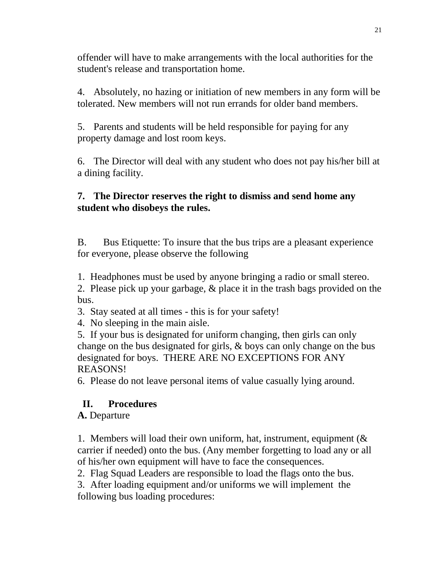offender will have to make arrangements with the local authorities for the student's release and transportation home.

4. Absolutely, no hazing or initiation of new members in any form will be tolerated. New members will not run errands for older band members.

5. Parents and students will be held responsible for paying for any property damage and lost room keys.

6. The Director will deal with any student who does not pay his/her bill at a dining facility.

### **7. The Director reserves the right to dismiss and send home any student who disobeys the rules.**

B. Bus Etiquette: To insure that the bus trips are a pleasant experience for everyone, please observe the following

1. Headphones must be used by anyone bringing a radio or small stereo.

2. Please pick up your garbage, & place it in the trash bags provided on the bus.

3. Stay seated at all times - this is for your safety!

4. No sleeping in the main aisle.

5. If your bus is designated for uniform changing, then girls can only change on the bus designated for girls, & boys can only change on the bus designated for boys. THERE ARE NO EXCEPTIONS FOR ANY REASONS!

6. Please do not leave personal items of value casually lying around.

### **II. Procedures**

**A.** Departure

1. Members will load their own uniform, hat, instrument, equipment (& carrier if needed) onto the bus. (Any member forgetting to load any or all of his/her own equipment will have to face the consequences.

2. Flag Squad Leaders are responsible to load the flags onto the bus.

3. After loading equipment and/or uniforms we will implement the following bus loading procedures: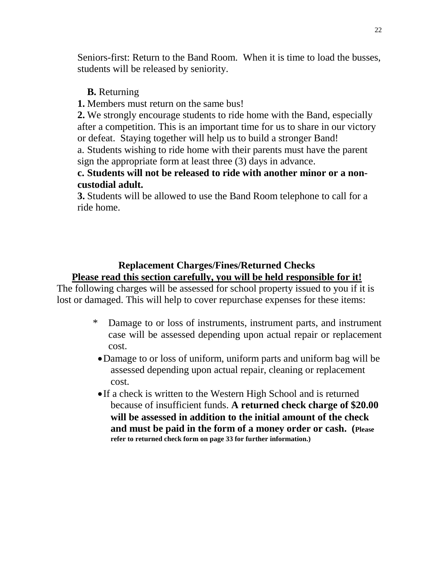Seniors-first: Return to the Band Room. When it is time to load the busses, students will be released by seniority.

#### **B.** Returning

**1.** Members must return on the same bus!

**2.** We strongly encourage students to ride home with the Band, especially after a competition. This is an important time for us to share in our victory or defeat. Staying together will help us to build a stronger Band!

a. Students wishing to ride home with their parents must have the parent sign the appropriate form at least three (3) days in advance.

#### **c. Students will not be released to ride with another minor or a noncustodial adult.**

**3.** Students will be allowed to use the Band Room telephone to call for a ride home.

#### **Replacement Charges/Fines/Returned Checks Please read this section carefully, you will be held responsible for it!**

The following charges will be assessed for school property issued to you if it is lost or damaged. This will help to cover repurchase expenses for these items:

- \* Damage to or loss of instruments, instrument parts, and instrument case will be assessed depending upon actual repair or replacement cost.
	- Damage to or loss of uniform, uniform parts and uniform bag will be assessed depending upon actual repair, cleaning or replacement cost.
	- •If a check is written to the Western High School and is returned because of insufficient funds. **A returned check charge of \$20.00 will be assessed in addition to the initial amount of the check and must be paid in the form of a money order or cash. (Please refer to returned check form on page 33 for further information.)**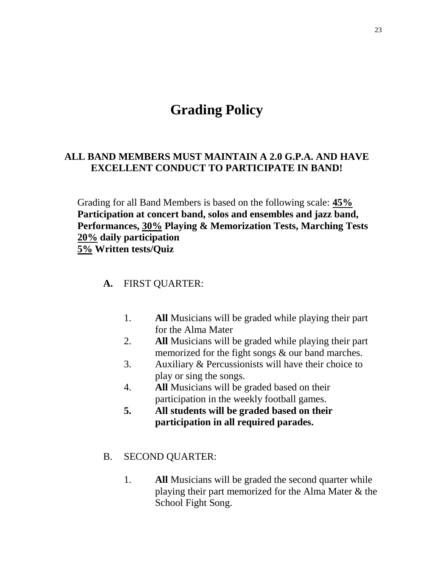# **Grading Policy**

#### **ALL BAND MEMBERS MUST MAINTAIN A 2.0 G.P.A. AND HAVE EXCELLENT CONDUCT TO PARTICIPATE IN BAND!**

Grading for all Band Members is based on the following scale: **45% Participation at concert band, solos and ensembles and jazz band, Performances, 30% Playing & Memorization Tests, Marching Tests 20% daily participation 5% Written tests/Quiz**

#### **A.** FIRST QUARTER:

- 1. **All** Musicians will be graded while playing their part for the Alma Mater
- 2. **All** Musicians will be graded while playing their part memorized for the fight songs & our band marches.
- 3. Auxiliary & Percussionists will have their choice to play or sing the songs.
- 4. **All** Musicians will be graded based on their participation in the weekly football games.
- **5. All students will be graded based on their participation in all required parades.**
- B. SECOND QUARTER:
	- 1. **All** Musicians will be graded the second quarter while playing their part memorized for the Alma Mater & the School Fight Song.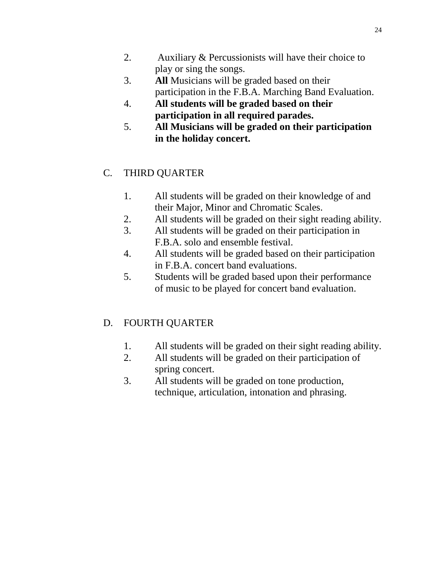- 2. Auxiliary & Percussionists will have their choice to play or sing the songs.
- 3. **All** Musicians will be graded based on their participation in the F.B.A. Marching Band Evaluation.
- 4. **All students will be graded based on their participation in all required parades.**
- 5. **All Musicians will be graded on their participation in the holiday concert.**

# C. THIRD QUARTER

- 1. All students will be graded on their knowledge of and their Major, Minor and Chromatic Scales.
- 2. All students will be graded on their sight reading ability.
- 3. All students will be graded on their participation in F.B.A. solo and ensemble festival.
- 4. All students will be graded based on their participation in F.B.A. concert band evaluations.
- 5. Students will be graded based upon their performance of music to be played for concert band evaluation.

# D. FOURTH QUARTER

- 1. All students will be graded on their sight reading ability.
- 2. All students will be graded on their participation of spring concert.
- 3. All students will be graded on tone production, technique, articulation, intonation and phrasing.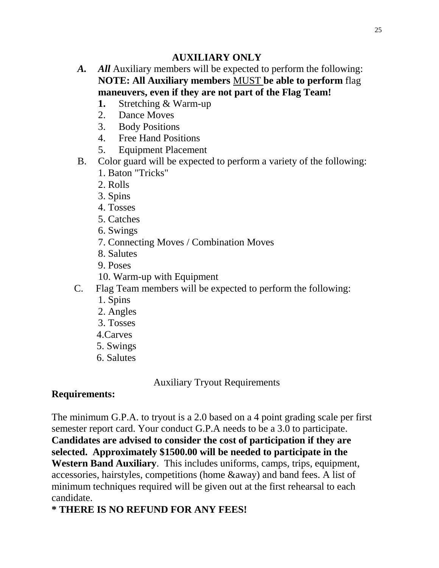### **AUXILIARY ONLY**

- A. All Auxiliary members will be expected to perform the following: **NOTE: All Auxiliary members** MUST **be able to perform** flag **maneuvers, even if they are not part of the Flag Team!**
	- **1.** Stretching & Warm-up
	- 2. Dance Moves
	- 3. Body Positions
	- 4. Free Hand Positions
	- 5. Equipment Placement
- B. Color guard will be expected to perform a variety of the following:
	- 1. Baton "Tricks"
	- 2. Rolls
	- 3. Spins
	- 4. Tosses
	- 5. Catches
	- 6. Swings
	- 7. Connecting Moves / Combination Moves
	- 8. Salutes
	- 9. Poses
	- 10. Warm-up with Equipment
- C. Flag Team members will be expected to perform the following:
	- 1. Spins
	- 2. Angles
	- 3. Tosses
	- 4.Carves
	- 5. Swings
	- 6. Salutes

Auxiliary Tryout Requirements

# **Requirements:**

The minimum G.P.A. to tryout is a 2.0 based on a 4 point grading scale per first semester report card. Your conduct G.P.A needs to be a 3.0 to participate. **Candidates are advised to consider the cost of participation if they are selected. Approximately \$1500.00 will be needed to participate in the Western Band Auxiliary**. This includes uniforms, camps, trips, equipment, accessories, hairstyles, competitions (home &away) and band fees. A list of minimum techniques required will be given out at the first rehearsal to each candidate.

# **\* THERE IS NO REFUND FOR ANY FEES!**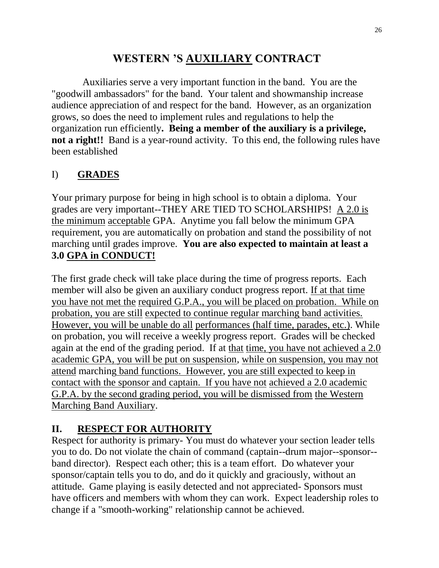# **WESTERN 'S AUXILIARY CONTRACT**

Auxiliaries serve a very important function in the band. You are the "goodwill ambassadors" for the band. Your talent and showmanship increase audience appreciation of and respect for the band. However, as an organization grows, so does the need to implement rules and regulations to help the organization run efficiently**. Being a member of the auxiliary is a privilege, not a right!!** Band is a year-round activity. To this end, the following rules have been established

# I) **GRADES**

Your primary purpose for being in high school is to obtain a diploma. Your grades are very important--THEY ARE TIED TO SCHOLARSHIPS! A 2.0 is the minimum acceptable GPA. Anytime you fall below the minimum GPA requirement, you are automatically on probation and stand the possibility of not marching until grades improve. **You are also expected to maintain at least a 3.0 GPA in CONDUCT!**

The first grade check will take place during the time of progress reports. Each member will also be given an auxiliary conduct progress report. If at that time you have not met the required G.P.A., you will be placed on probation. While on probation, you are still expected to continue regular marching band activities. However, you will be unable do all performances (half time, parades, etc.). While on probation, you will receive a weekly progress report. Grades will be checked again at the end of the grading period. If at that time, you have not achieved a 2.0 academic GPA, you will be put on suspension, while on suspension, you may not attend marching band functions. However, you are still expected to keep in contact with the sponsor and captain. If you have not achieved a 2.0 academic G.P.A. by the second grading period, you will be dismissed from the Western Marching Band Auxiliary.

# **II. RESPECT FOR AUTHORITY**

Respect for authority is primary- You must do whatever your section leader tells you to do. Do not violate the chain of command (captain--drum major--sponsor- band director). Respect each other; this is a team effort. Do whatever your sponsor/captain tells you to do, and do it quickly and graciously, without an attitude. Game playing is easily detected and not appreciated- Sponsors must have officers and members with whom they can work. Expect leadership roles to change if a "smooth-working" relationship cannot be achieved.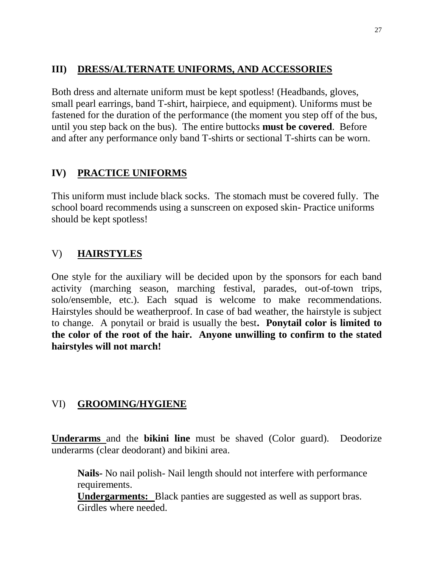#### **III) DRESS/ALTERNATE UNIFORMS, AND ACCESSORIES**

Both dress and alternate uniform must be kept spotless! (Headbands, gloves, small pearl earrings, band T-shirt, hairpiece, and equipment). Uniforms must be fastened for the duration of the performance (the moment you step off of the bus, until you step back on the bus). The entire buttocks **must be covered**. Before and after any performance only band T-shirts or sectional T-shirts can be worn.

### **IV) PRACTICE UNIFORMS**

This uniform must include black socks. The stomach must be covered fully. The school board recommends using a sunscreen on exposed skin- Practice uniforms should be kept spotless!

### V) **HAIRSTYLES**

One style for the auxiliary will be decided upon by the sponsors for each band activity (marching season, marching festival, parades, out-of-town trips, solo/ensemble, etc.). Each squad is welcome to make recommendations. Hairstyles should be weatherproof. In case of bad weather, the hairstyle is subject to change. A ponytail or braid is usually the best**. Ponytail color is limited to the color of the root of the hair. Anyone unwilling to confirm to the stated hairstyles will not march!**

### VI) **GROOMING/HYGIENE**

**Underarms** and the **bikini line** must be shaved (Color guard). Deodorize underarms (clear deodorant) and bikini area.

**Nails-** No nail polish- Nail length should not interfere with performance requirements.

**Undergarments:** Black panties are suggested as well as support bras. Girdles where needed.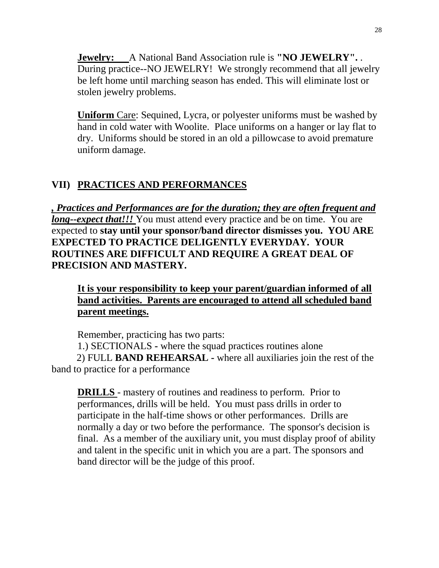**Jewelry:** A National Band Association rule is **"NO JEWELRY".** . During practice--NO JEWELRY! We strongly recommend that all jewelry be left home until marching season has ended. This will eliminate lost or stolen jewelry problems.

**Uniform** Care: Sequined, Lycra, or polyester uniforms must be washed by hand in cold water with Woolite. Place uniforms on a hanger or lay flat to dry. Uniforms should be stored in an old a pillowcase to avoid premature uniform damage.

# **VII) PRACTICES AND PERFORMANCES**

*, Practices and Performances are for the duration; they are often frequent and long--expect that!!!* You must attend every practice and be on time. You are expected to **stay until your sponsor/band director dismisses you. YOU ARE EXPECTED TO PRACTICE DELIGENTLY EVERYDAY. YOUR ROUTINES ARE DIFFICULT AND REQUIRE A GREAT DEAL OF PRECISION AND MASTERY.**

**It is your responsibility to keep your parent/guardian informed of all band activities. Parents are encouraged to attend all scheduled band parent meetings.**

Remember, practicing has two parts:

1.) SECTIONALS **-** where the squad practices routines alone 2) FULL **BAND REHEARSAL -** where all auxiliaries join the rest of the band to practice for a performance

**DRILLS** - mastery of routines and readiness to perform. Prior to performances, drills will be held. You must pass drills in order to participate in the half-time shows or other performances. Drills are normally a day or two before the performance. The sponsor's decision is final. As a member of the auxiliary unit, you must display proof of ability and talent in the specific unit in which you are a part. The sponsors and band director will be the judge of this proof.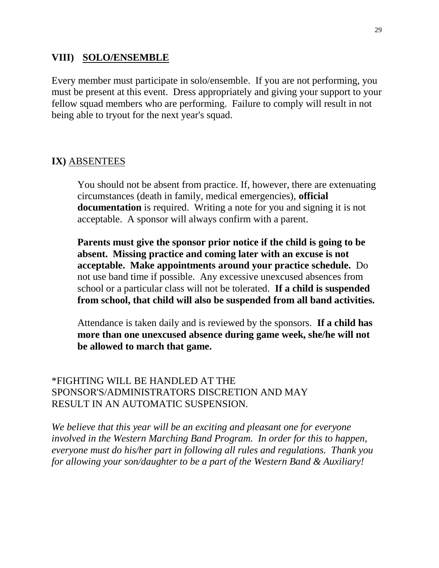#### **VIII) SOLO/ENSEMBLE**

Every member must participate in solo/ensemble. If you are not performing, you must be present at this event. Dress appropriately and giving your support to your fellow squad members who are performing. Failure to comply will result in not being able to tryout for the next year's squad.

#### **IX)** ABSENTEES

You should not be absent from practice. If, however, there are extenuating circumstances (death in family, medical emergencies), **official documentation** is required. Writing a note for you and signing it is not acceptable. A sponsor will always confirm with a parent.

**Parents must give the sponsor prior notice if the child is going to be absent. Missing practice and coming later with an excuse is not acceptable. Make appointments around your practice schedule.** Do not use band time if possible. Any excessive unexcused absences from school or a particular class will not be tolerated. **If a child is suspended from school, that child will also be suspended from all band activities.**

Attendance is taken daily and is reviewed by the sponsors. **If a child has more than one unexcused absence during game week, she/he will not be allowed to march that game.**

\*FIGHTING WILL BE HANDLED AT THE SPONSOR'S/ADMINISTRATORS DISCRETION AND MAY RESULT IN AN AUTOMATIC SUSPENSION.

*We believe that this year will be an exciting and pleasant one for everyone involved in the Western Marching Band Program. In order for this to happen, everyone must do his/her part in following all rules and regulations. Thank you for allowing your son/daughter to be a part of the Western Band & Auxiliary!*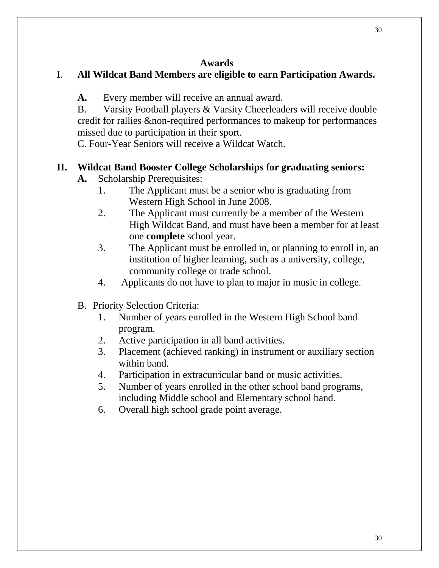#### **Awards**

### I. **All Wildcat Band Members are eligible to earn Participation Awards.**

**A.** Every member will receive an annual award.

B. Varsity Football players & Varsity Cheerleaders will receive double credit for rallies &non-required performances to makeup for performances missed due to participation in their sport.

C. Four-Year Seniors will receive a Wildcat Watch.

#### **II. Wildcat Band Booster College Scholarships for graduating seniors:**

- **A.** Scholarship Prerequisites:
	- 1. The Applicant must be a senior who is graduating from Western High School in June 2008.
	- 2. The Applicant must currently be a member of the Western High Wildcat Band, and must have been a member for at least one **complete** school year.
	- 3. The Applicant must be enrolled in, or planning to enroll in, an institution of higher learning, such as a university, college, community college or trade school.
	- 4. Applicants do not have to plan to major in music in college.
- B. Priority Selection Criteria:
	- 1. Number of years enrolled in the Western High School band program.
	- 2. Active participation in all band activities.
	- 3. Placement (achieved ranking) in instrument or auxiliary section within band.
	- 4. Participation in extracurricular band or music activities.
	- 5. Number of years enrolled in the other school band programs, including Middle school and Elementary school band.
	- 6. Overall high school grade point average.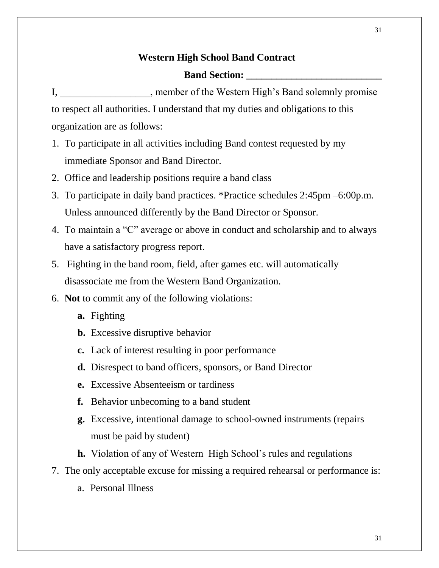#### **Western High School Band Contract**

#### **Band Section:**

- I, \_\_\_\_\_\_\_\_\_\_\_\_\_\_\_\_\_\_, member of the Western High's Band solemnly promise to respect all authorities. I understand that my duties and obligations to this organization are as follows:
- 1. To participate in all activities including Band contest requested by my immediate Sponsor and Band Director.
- 2. Office and leadership positions require a band class
- 3. To participate in daily band practices. \*Practice schedules 2:45pm –6:00p.m. Unless announced differently by the Band Director or Sponsor.
- 4. To maintain a "C" average or above in conduct and scholarship and to always have a satisfactory progress report.
- 5. Fighting in the band room, field, after games etc. will automatically disassociate me from the Western Band Organization.
- 6. **Not** to commit any of the following violations:
	- **a.** Fighting
	- **b.** Excessive disruptive behavior
	- **c.** Lack of interest resulting in poor performance
	- **d.** Disrespect to band officers, sponsors, or Band Director
	- **e.** Excessive Absenteeism or tardiness
	- **f.** Behavior unbecoming to a band student
	- **g.** Excessive, intentional damage to school-owned instruments (repairs must be paid by student)
	- **h.** Violation of any of Western High School's rules and regulations
- 7. The only acceptable excuse for missing a required rehearsal or performance is:
	- a. Personal Illness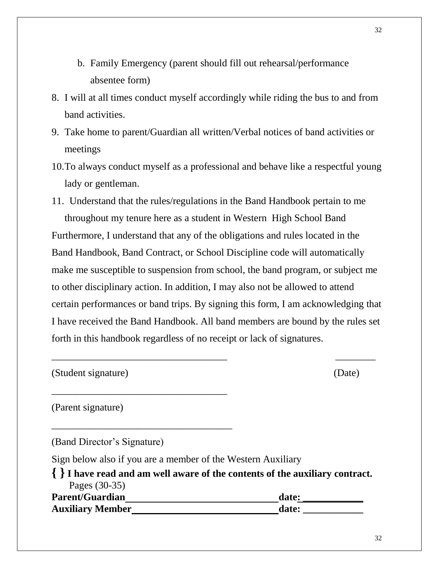- b. Family Emergency (parent should fill out rehearsal/performance absentee form)
- 8. I will at all times conduct myself accordingly while riding the bus to and from band activities.
- 9. Take home to parent/Guardian all written/Verbal notices of band activities or meetings
- 10.To always conduct myself as a professional and behave like a respectful young lady or gentleman.

11. Understand that the rules/regulations in the Band Handbook pertain to me throughout my tenure here as a student in Western High School Band Furthermore, I understand that any of the obligations and rules located in the Band Handbook, Band Contract, or School Discipline code will automatically make me susceptible to suspension from school, the band program, or subject me to other disciplinary action. In addition, I may also not be allowed to attend certain performances or band trips. By signing this form, I am acknowledging that I have received the Band Handbook. All band members are bound by the rules set forth in this handbook regardless of no receipt or lack of signatures.

\_\_\_\_\_\_\_\_\_\_\_\_\_\_\_\_\_\_\_\_\_\_\_\_\_\_\_\_\_\_\_\_\_\_\_ \_\_\_\_\_\_\_\_

(Student signature) (Date)

(Parent signature)

(Band Director's Signature)

\_\_\_\_\_\_\_\_\_\_\_\_\_\_\_\_\_\_\_\_\_\_\_\_\_\_\_\_\_\_\_\_\_\_\_

\_\_\_\_\_\_\_\_\_\_\_\_\_\_\_\_\_\_\_\_\_\_\_\_\_\_\_\_\_\_\_\_\_\_\_\_

Sign below also if you are a member of the Western Auxiliary

**{ }I have read and am well aware of the contents of the auxiliary contract.** Pages (30-35) **Parent/Guardian date:**  $\qquad \qquad$  **date: Auxiliary Member date: \_\_\_\_\_\_\_\_\_\_\_\_**